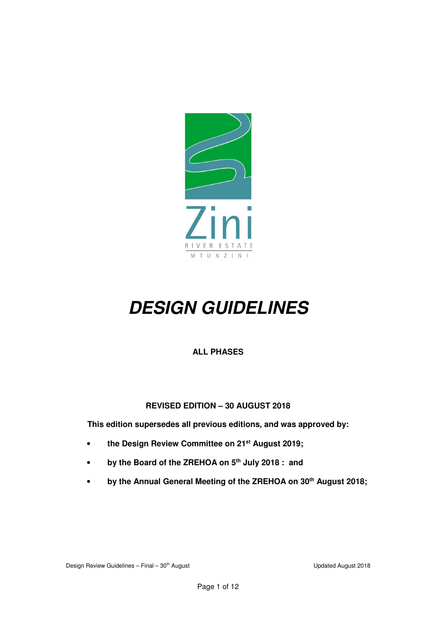

# *DESIGN GUIDELINES*

# **ALL PHASES**

# **REVISED EDITION – 30 AUGUST 2018**

**This edition supersedes all previous editions, and was approved by:** 

- **the Design Review Committee on 21st August 2019;**
- **by the Board of the ZREHOA on 5th July 2018 : and**
- **by the Annual General Meeting of the ZREHOA on 30th August 2018;**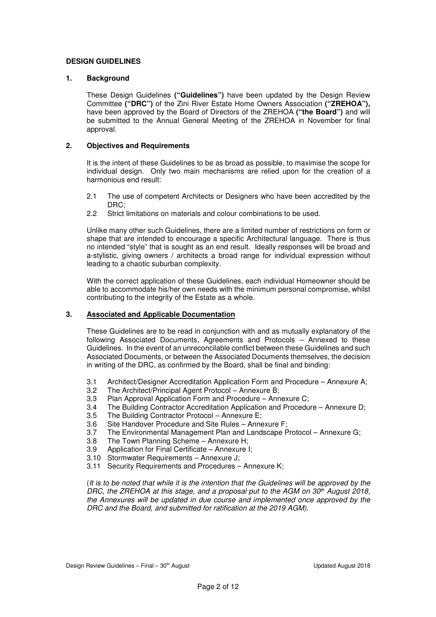# **DESIGN GUIDELINES**

#### **1. Background**

These Design Guidelines **("Guidelines")** have been updated by the Design Review Committee **("DRC")** of the Zini River Estate Home Owners Association **("ZREHOA"),**  have been approved by the Board of Directors of the ZREHOA **("the Board")** and will be submitted to the Annual General Meeting of the ZREHOA in November for final approval.

#### **2. Objectives and Requirements**

It is the intent of these Guidelines to be as broad as possible, to maximise the scope for individual design. Only two main mechanisms are relied upon for the creation of a harmonious end result:

- 2.1 The use of competent Architects or Designers who have been accredited by the DRC;
- 2.2 Strict limitations on materials and colour combinations to be used.

Unlike many other such Guidelines, there are a limited number of restrictions on form or shape that are intended to encourage a specific Architectural language. There is thus no intended "style" that is sought as an end result. Ideally responses will be broad and a-stylistic, giving owners / architects a broad range for individual expression without leading to a chaotic suburban complexity.

With the correct application of these Guidelines, each individual Homeowner should be able to accommodate his/her own needs with the minimum personal compromise, whilst contributing to the integrity of the Estate as a whole.

# **3. Associated and Applicable Documentation**

These Guidelines are to be read in conjunction with and as mutually explanatory of the following Associated Documents, Agreements and Protocols – Annexed to these Guidelines. In the event of an unreconcilable conflict between these Guidelines and such Associated Documents, or between the Associated Documents themselves, the decision in writing of the DRC, as confirmed by the Board, shall be final and binding:

- 3.1 Architect/Designer Accreditation Application Form and Procedure Annexure A;
- 3.2 The Architect/Principal Agent Protocol Annexure B;<br>3.3 Plan Approval Application Form and Procedure Ann
- Plan Approval Application Form and Procedure Annexure C;
- 3.4 The Building Contractor Accreditation Application and Procedure Annexure D;
- 3.5 The Building Contractor Protocol Annexure E;
- 3.6 Site Handover Procedure and Site Rules Annexure F;
- 3.7 The Environmental Management Plan and Landscape Protocol Annexure G;
- 3.8 The Town Planning Scheme Annexure H;<br>3.9 Application for Final Certificate Annexure I
- Application for Final Certificate Annexure I;
- 3.10 Stormwater Requirements Annexure J;
- 3.11 Security Requirements and Procedures Annexure K;

(It is to be noted that while it is the intention that the Guidelines will be approved by the DRC, the ZREHOA at this stage, and a proposal put to the AGM on  $30<sup>th</sup>$  August 2018, the Annexures will be updated in due course and implemented once approved by the DRC and the Board, and submitted for ratification at the 2019 AGM).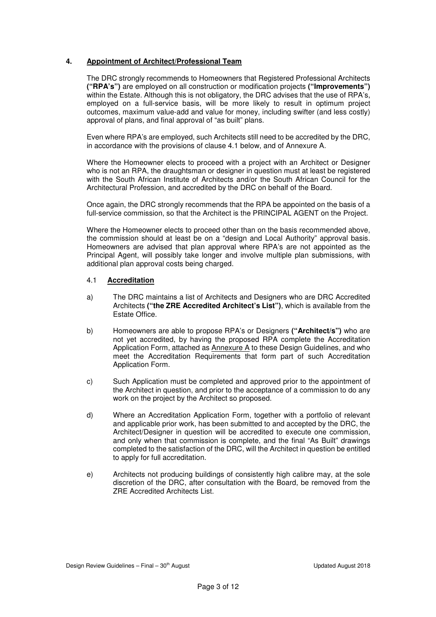## **4. Appointment of Architect/Professional Team**

The DRC strongly recommends to Homeowners that Registered Professional Architects **("RPA's")** are employed on all construction or modification projects **("Improvements")**  within the Estate. Although this is not obligatory, the DRC advises that the use of RPA's, employed on a full-service basis, will be more likely to result in optimum project outcomes, maximum value-add and value for money, including swifter (and less costly) approval of plans, and final approval of "as built" plans.

Even where RPA's are employed, such Architects still need to be accredited by the DRC, in accordance with the provisions of clause 4.1 below, and of Annexure A.

Where the Homeowner elects to proceed with a project with an Architect or Designer who is not an RPA, the draughtsman or designer in question must at least be registered with the South African Institute of Architects and/or the South African Council for the Architectural Profession, and accredited by the DRC on behalf of the Board.

Once again, the DRC strongly recommends that the RPA be appointed on the basis of a full-service commission, so that the Architect is the PRINCIPAL AGENT on the Project.

Where the Homeowner elects to proceed other than on the basis recommended above, the commission should at least be on a "design and Local Authority" approval basis. Homeowners are advised that plan approval where RPA's are not appointed as the Principal Agent, will possibly take longer and involve multiple plan submissions, with additional plan approval costs being charged.

#### 4.1 **Accreditation**

- a) The DRC maintains a list of Architects and Designers who are DRC Accredited Architects **("the ZRE Accredited Architect's List")**, which is available from the Estate Office.
- b) Homeowners are able to propose RPA's or Designers **("Architect/s")** who are not yet accredited, by having the proposed RPA complete the Accreditation Application Form, attached as **Annexure A** to these Design Guidelines, and who meet the Accreditation Requirements that form part of such Accreditation Application Form.
- c) Such Application must be completed and approved prior to the appointment of the Architect in question, and prior to the acceptance of a commission to do any work on the project by the Architect so proposed.
- d) Where an Accreditation Application Form, together with a portfolio of relevant and applicable prior work, has been submitted to and accepted by the DRC, the Architect/Designer in question will be accredited to execute one commission, and only when that commission is complete, and the final "As Built" drawings completed to the satisfaction of the DRC, will the Architect in question be entitled to apply for full accreditation.
- e) Architects not producing buildings of consistently high calibre may, at the sole discretion of the DRC, after consultation with the Board, be removed from the ZRE Accredited Architects List.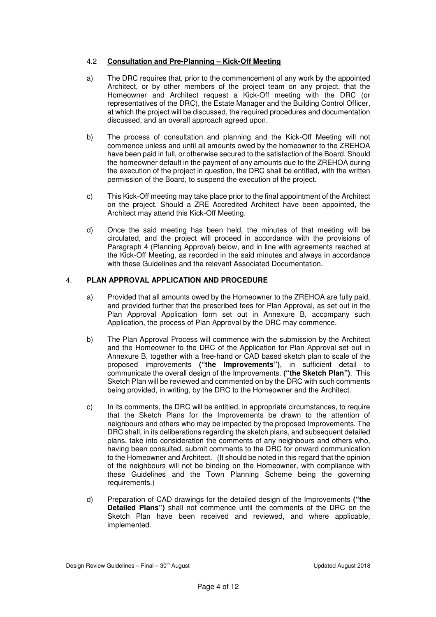# 4.2 **Consultation and Pre-Planning – Kick-Off Meeting**

- a) The DRC requires that, prior to the commencement of any work by the appointed Architect, or by other members of the project team on any project, that the Homeowner and Architect request a Kick-Off meeting with the DRC (or representatives of the DRC), the Estate Manager and the Building Control Officer, at which the project will be discussed, the required procedures and documentation discussed, and an overall approach agreed upon.
- b) The process of consultation and planning and the Kick-Off Meeting will not commence unless and until all amounts owed by the homeowner to the ZREHOA have been paid in full, or otherwise secured to the satisfaction of the Board. Should the homeowner default in the payment of any amounts due to the ZREHOA during the execution of the project in question, the DRC shall be entitled, with the written permission of the Board, to suspend the execution of the project.
- c) This Kick-Off meeting may take place prior to the final appointment of the Architect on the project. Should a ZRE Accredited Architect have been appointed, the Architect may attend this Kick-Off Meeting.
- d) Once the said meeting has been held, the minutes of that meeting will be circulated, and the project will proceed in accordance with the provisions of Paragraph 4 (Planning Approval) below, and in line with agreements reached at the Kick-Off Meeting, as recorded in the said minutes and always in accordance with these Guidelines and the relevant Associated Documentation.

# 4. **PLAN APPROVAL APPLICATION AND PROCEDURE**

- a) Provided that all amounts owed by the Homeowner to the ZREHOA are fully paid, and provided further that the prescribed fees for Plan Approval, as set out in the Plan Approval Application form set out in Annexure B, accompany such Application, the process of Plan Approval by the DRC may commence.
- b) The Plan Approval Process will commence with the submission by the Architect and the Homeowner to the DRC of the Application for Plan Approval set out in Annexure B, together with a free-hand or CAD based sketch plan to scale of the proposed improvements **("the Improvements")**, in sufficient detail to communicate the overall design of the Improvements. **("the Sketch Plan")**. This Sketch Plan will be reviewed and commented on by the DRC with such comments being provided, in writing, by the DRC to the Homeowner and the Architect.
- c) In its comments, the DRC will be entitled, in appropriate circumstances, to require that the Sketch Plans for the Improvements be drawn to the attention of neighbours and others who may be impacted by the proposed Improvements. The DRC shall, in its deliberations regarding the sketch plans, and subsequent detailed plans, take into consideration the comments of any neighbours and others who, having been consulted, submit comments to the DRC for onward communication to the Homeowner and Architect. (It should be noted in this regard that the opinion of the neighbours will not be binding on the Homeowner, with compliance with these Guidelines and the Town Planning Scheme being the governing requirements.)
- d) Preparation of CAD drawings for the detailed design of the Improvements **("the Detailed Plans")** shall not commence until the comments of the DRC on the Sketch Plan have been received and reviewed, and where applicable, implemented.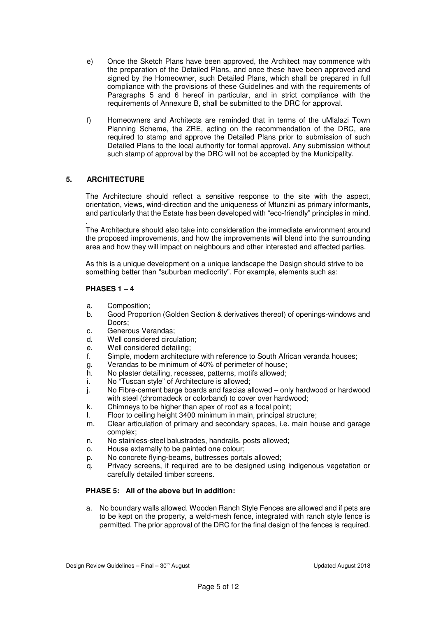- e) Once the Sketch Plans have been approved, the Architect may commence with the preparation of the Detailed Plans, and once these have been approved and signed by the Homeowner, such Detailed Plans, which shall be prepared in full compliance with the provisions of these Guidelines and with the requirements of Paragraphs 5 and 6 hereof in particular, and in strict compliance with the requirements of Annexure B, shall be submitted to the DRC for approval.
- f) Homeowners and Architects are reminded that in terms of the uMlalazi Town Planning Scheme, the ZRE, acting on the recommendation of the DRC, are required to stamp and approve the Detailed Plans prior to submission of such Detailed Plans to the local authority for formal approval. Any submission without such stamp of approval by the DRC will not be accepted by the Municipality.

# **5. ARCHITECTURE**

The Architecture should reflect a sensitive response to the site with the aspect, orientation, views, wind-direction and the uniqueness of Mtunzini as primary informants, and particularly that the Estate has been developed with "eco-friendly" principles in mind.

. The Architecture should also take into consideration the immediate environment around the proposed improvements, and how the improvements will blend into the surrounding area and how they will impact on neighbours and other interested and affected parties.

As this is a unique development on a unique landscape the Design should strive to be something better than "suburban mediocrity". For example, elements such as:

#### **PHASES 1 – 4**

- a. Composition;
- b. Good Proportion (Golden Section & derivatives thereof) of openings-windows and Doors;
- c. Generous Verandas;
- d. Well considered circulation;
- e. Well considered detailing;
- f. Simple, modern architecture with reference to South African veranda houses;
- g. Verandas to be minimum of 40% of perimeter of house;
- h. No plaster detailing, recesses, patterns, motifs allowed;
- i. No "Tuscan style" of Architecture is allowed;
- j. No Fibre-cement barge boards and fascias allowed only hardwood or hardwood with steel (chromadeck or colorband) to cover over hardwood;
- k. Chimneys to be higher than apex of roof as a focal point;
- l. Floor to ceiling height 3400 minimum in main, principal structure;
- m. Clear articulation of primary and secondary spaces, i.e. main house and garage complex;
- n. No stainless-steel balustrades, handrails, posts allowed;
- o. House externally to be painted one colour;
- p. No concrete flying-beams, buttresses portals allowed;
- q. Privacy screens, if required are to be designed using indigenous vegetation or carefully detailed timber screens.

# **PHASE 5: All of the above but in addition:**

a. No boundary walls allowed. Wooden Ranch Style Fences are allowed and if pets are to be kept on the property, a weld-mesh fence, integrated with ranch style fence is permitted. The prior approval of the DRC for the final design of the fences is required.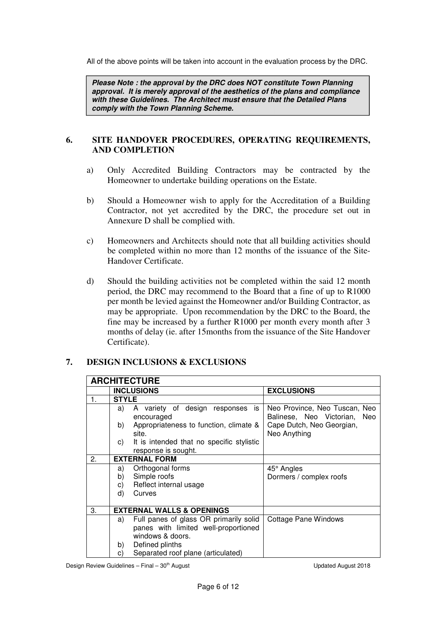All of the above points will be taken into account in the evaluation process by the DRC.

*Please Note : the approval by the DRC does NOT constitute Town Planning approval. It is merely approval of the aesthetics of the plans and compliance with these Guidelines. The Architect must ensure that the Detailed Plans comply with the Town Planning Scheme.* 

# **6. SITE HANDOVER PROCEDURES, OPERATING REQUIREMENTS, AND COMPLETION**

- a) Only Accredited Building Contractors may be contracted by the Homeowner to undertake building operations on the Estate.
- b) Should a Homeowner wish to apply for the Accreditation of a Building Contractor, not yet accredited by the DRC, the procedure set out in Annexure D shall be complied with.
- c) Homeowners and Architects should note that all building activities should be completed within no more than 12 months of the issuance of the Site-Handover Certificate.
- d) Should the building activities not be completed within the said 12 month period, the DRC may recommend to the Board that a fine of up to R1000 per month be levied against the Homeowner and/or Building Contractor, as may be appropriate. Upon recommendation by the DRC to the Board, the fine may be increased by a further R1000 per month every month after 3 months of delay (ie. after 15months from the issuance of the Site Handover Certificate).

# **7. DESIGN INCLUSIONS & EXCLUSIONS**

| <b>ARCHITECTURE</b> |                                      |                                                                  |                                                               |  |  |
|---------------------|--------------------------------------|------------------------------------------------------------------|---------------------------------------------------------------|--|--|
|                     | <b>INCLUSIONS</b>                    |                                                                  | <b>EXCLUSIONS</b>                                             |  |  |
| 1.                  | <b>STYLE</b>                         |                                                                  |                                                               |  |  |
|                     | a)                                   | A variety of design responses<br>is<br>encouraged                | Neo Province, Neo Tuscan, Neo<br>Balinese, Neo Victorian, Neo |  |  |
|                     | b)<br>site.                          | Appropriateness to function, climate &                           | Cape Dutch, Neo Georgian,<br>Neo Anything                     |  |  |
|                     | C)                                   | It is intended that no specific stylistic<br>response is sought. |                                                               |  |  |
| 2.                  | <b>EXTERNAL FORM</b>                 |                                                                  |                                                               |  |  |
|                     | a)                                   | Orthogonal forms                                                 | $45^\circ$ Angles                                             |  |  |
|                     | b)                                   | Simple roofs                                                     | Dormers / complex roofs                                       |  |  |
|                     | c)                                   | Reflect internal usage                                           |                                                               |  |  |
|                     | d)                                   | Curves                                                           |                                                               |  |  |
|                     |                                      |                                                                  |                                                               |  |  |
| 3.                  | <b>EXTERNAL WALLS &amp; OPENINGS</b> |                                                                  |                                                               |  |  |
|                     | a)                                   | Full panes of glass OR primarily solid                           | Cottage Pane Windows                                          |  |  |
|                     |                                      | panes with limited well-proportioned                             |                                                               |  |  |
|                     |                                      | windows & doors.                                                 |                                                               |  |  |
|                     | b)                                   | Defined plinths                                                  |                                                               |  |  |
|                     | C)                                   | Separated roof plane (articulated)                               |                                                               |  |  |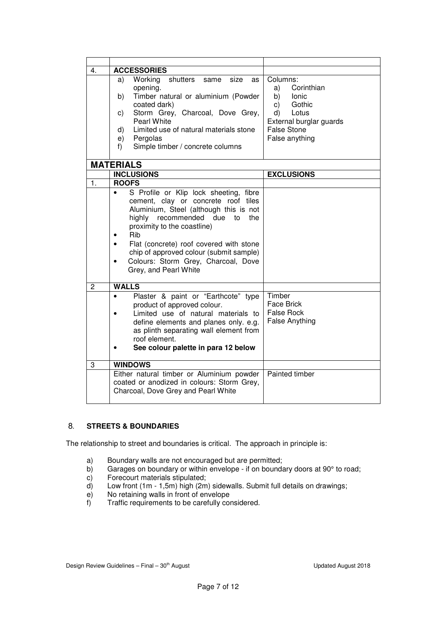| Columns:<br>as                                                                                                         |  |
|------------------------------------------------------------------------------------------------------------------------|--|
| Corinthian<br>a)                                                                                                       |  |
| Timber natural or aluminium (Powder<br>b)<br>Ionic                                                                     |  |
| Gothic<br>C)                                                                                                           |  |
| Storm Grey, Charcoal, Dove Grey,<br>Lotus<br>d)                                                                        |  |
| External burglar guards                                                                                                |  |
| <b>False Stone</b>                                                                                                     |  |
| False anything                                                                                                         |  |
|                                                                                                                        |  |
|                                                                                                                        |  |
|                                                                                                                        |  |
| <b>EXCLUSIONS</b>                                                                                                      |  |
|                                                                                                                        |  |
| S Profile or Klip lock sheeting, fibre                                                                                 |  |
| cement, clay or concrete roof tiles                                                                                    |  |
| Aluminium, Steel (although this is not                                                                                 |  |
| the                                                                                                                    |  |
|                                                                                                                        |  |
|                                                                                                                        |  |
| Flat (concrete) roof covered with stone                                                                                |  |
| chip of approved colour (submit sample)                                                                                |  |
| Colours: Storm Grey, Charcoal, Dove                                                                                    |  |
|                                                                                                                        |  |
|                                                                                                                        |  |
|                                                                                                                        |  |
| Timber<br>Plaster & paint or "Earthcote" type                                                                          |  |
| Face Brick                                                                                                             |  |
| <b>False Rock</b>                                                                                                      |  |
| <b>False Anything</b>                                                                                                  |  |
|                                                                                                                        |  |
|                                                                                                                        |  |
|                                                                                                                        |  |
|                                                                                                                        |  |
|                                                                                                                        |  |
| Painted timber<br>Either natural timber or Aluminium powder                                                            |  |
| coated or anodized in colours: Storm Grey,                                                                             |  |
|                                                                                                                        |  |
|                                                                                                                        |  |
| Limited use of natural materials to<br>define elements and planes only. e.g.<br>as plinth separating wall element from |  |
|                                                                                                                        |  |

# 8**. STREETS & BOUNDARIES**

The relationship to street and boundaries is critical. The approach in principle is:

- a) Boundary walls are not encouraged but are permitted;
- b) Garages on boundary or within envelope if on boundary doors at 90° to road;
- c) Forecourt materials stipulated;<br>d) Low front (1m 1,5m) high (2m
- Low front (1m 1,5m) high (2m) sidewalls. Submit full details on drawings;
- e) No retaining walls in front of envelope<br>f) Traffic requirements to be carefully con
- Traffic requirements to be carefully considered.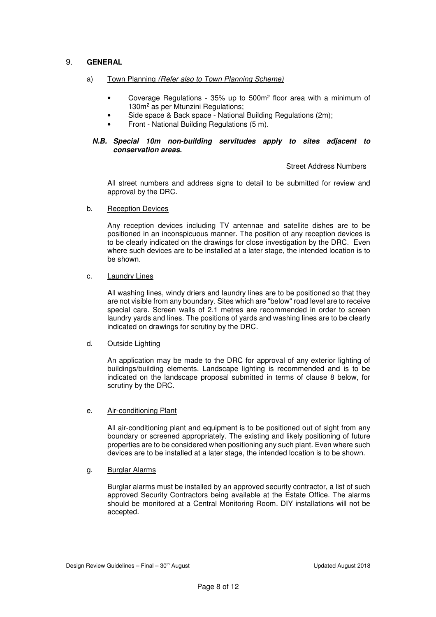# 9. **GENERAL**

# a) Town Planning (Refer also to Town Planning Scheme)

- Coverage Regulations 35% up to 500m<sup>2</sup> floor area with a minimum of 130m<sup>2</sup> as per Mtunzini Regulations;
- Side space & Back space National Building Regulations (2m);
- Front National Building Regulations (5 m).

#### *N.B. Special 10m non-building servitudes apply to sites adjacent to conservation areas.*

#### Street Address Numbers

 All street numbers and address signs to detail to be submitted for review and approval by the DRC.

#### b. Reception Devices

 Any reception devices including TV antennae and satellite dishes are to be positioned in an inconspicuous manner. The position of any reception devices is to be clearly indicated on the drawings for close investigation by the DRC. Even where such devices are to be installed at a later stage, the intended location is to be shown.

#### c. Laundry Lines

 All washing lines, windy driers and laundry lines are to be positioned so that they are not visible from any boundary. Sites which are "below" road level are to receive special care. Screen walls of 2.1 metres are recommended in order to screen laundry yards and lines. The positions of yards and washing lines are to be clearly indicated on drawings for scrutiny by the DRC.

#### d. Outside Lighting

 An application may be made to the DRC for approval of any exterior lighting of buildings/building elements. Landscape lighting is recommended and is to be indicated on the landscape proposal submitted in terms of clause 8 below, for scrutiny by the DRC.

#### e. Air-conditioning Plant

 All air-conditioning plant and equipment is to be positioned out of sight from any boundary or screened appropriately. The existing and likely positioning of future properties are to be considered when positioning any such plant. Even where such devices are to be installed at a later stage, the intended location is to be shown.

#### g. Burglar Alarms

 Burglar alarms must be installed by an approved security contractor, a list of such approved Security Contractors being available at the Estate Office. The alarms should be monitored at a Central Monitoring Room. DIY installations will not be accepted.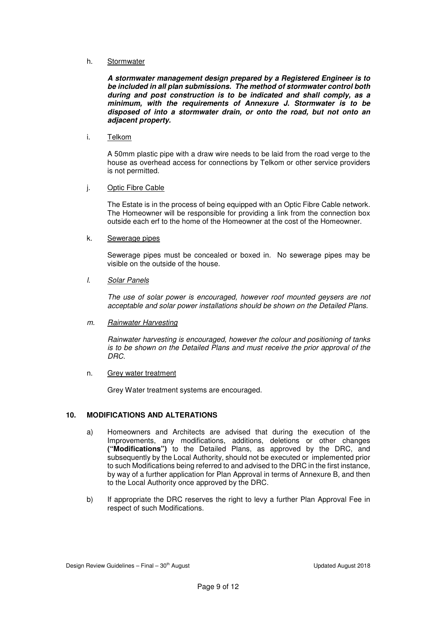#### h. Stormwater

*A stormwater management design prepared by a Registered Engineer is to be included in all plan submissions. The method of stormwater control both during and post construction is to be indicated and shall comply, as a minimum, with the requirements of Annexure J. Stormwater is to be disposed of into a stormwater drain, or onto the road, but not onto an adjacent property.* 

#### i. Telkom

 A 50mm plastic pipe with a draw wire needs to be laid from the road verge to the house as overhead access for connections by Telkom or other service providers is not permitted.

#### j. Optic Fibre Cable

The Estate is in the process of being equipped with an Optic Fibre Cable network. The Homeowner will be responsible for providing a link from the connection box outside each erf to the home of the Homeowner at the cost of the Homeowner.

#### k. Sewerage pipes

 Sewerage pipes must be concealed or boxed in. No sewerage pipes may be visible on the outside of the house.

#### l. Solar Panels

The use of solar power is encouraged, however roof mounted geysers are not acceptable and solar power installations should be shown on the Detailed Plans.

#### m. Rainwater Harvesting

Rainwater harvesting is encouraged, however the colour and positioning of tanks is to be shown on the Detailed Plans and must receive the prior approval of the DRC.

#### n. Grey water treatment

Grey Water treatment systems are encouraged.

# **10. MODIFICATIONS AND ALTERATIONS**

- a) Homeowners and Architects are advised that during the execution of the Improvements, any modifications, additions, deletions or other changes **("Modifications")** to the Detailed Plans, as approved by the DRC, and subsequently by the Local Authority, should not be executed or implemented prior to such Modifications being referred to and advised to the DRC in the first instance, by way of a further application for Plan Approval in terms of Annexure B, and then to the Local Authority once approved by the DRC.
- b) If appropriate the DRC reserves the right to levy a further Plan Approval Fee in respect of such Modifications.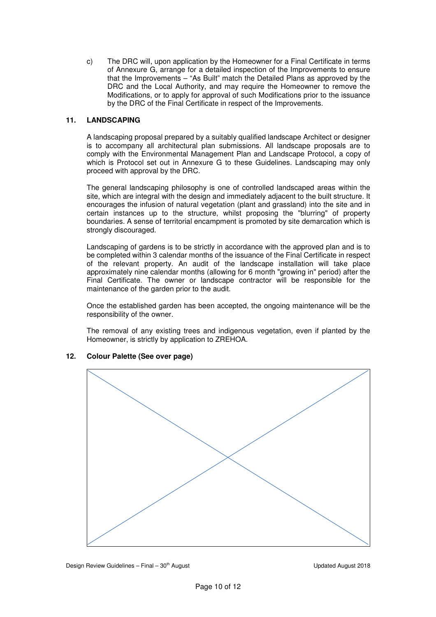c) The DRC will, upon application by the Homeowner for a Final Certificate in terms of Annexure G, arrange for a detailed inspection of the Improvements to ensure that the Improvements – "As Built" match the Detailed Plans as approved by the DRC and the Local Authority, and may require the Homeowner to remove the Modifications, or to apply for approval of such Modifications prior to the issuance by the DRC of the Final Certificate in respect of the Improvements.

# **11. LANDSCAPING**

A landscaping proposal prepared by a suitably qualified landscape Architect or designer is to accompany all architectural plan submissions. All landscape proposals are to comply with the Environmental Management Plan and Landscape Protocol, a copy of which is Protocol set out in Annexure G to these Guidelines. Landscaping may only proceed with approval by the DRC.

The general landscaping philosophy is one of controlled landscaped areas within the site, which are integral with the design and immediately adjacent to the built structure. It encourages the infusion of natural vegetation (plant and grassland) into the site and in certain instances up to the structure, whilst proposing the "blurring" of property boundaries. A sense of territorial encampment is promoted by site demarcation which is strongly discouraged.

Landscaping of gardens is to be strictly in accordance with the approved plan and is to be completed within 3 calendar months of the issuance of the Final Certificate in respect of the relevant property. An audit of the landscape installation will take place approximately nine calendar months (allowing for 6 month "growing in" period) after the Final Certificate. The owner or landscape contractor will be responsible for the maintenance of the garden prior to the audit.

Once the established garden has been accepted, the ongoing maintenance will be the responsibility of the owner.

The removal of any existing trees and indigenous vegetation, even if planted by the Homeowner, is strictly by application to ZREHOA.



# **12. Colour Palette (See over page)**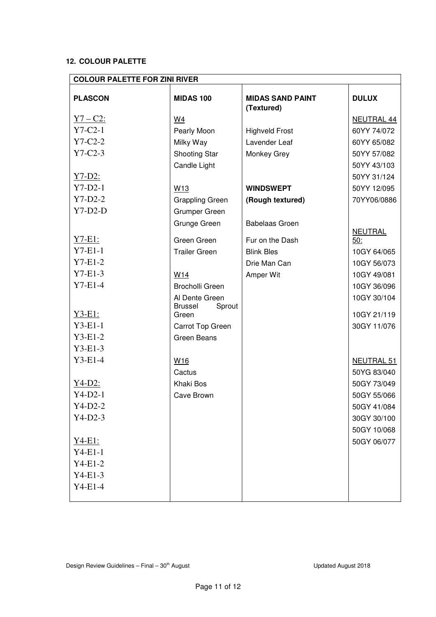# **12. COLOUR PALETTE**

| <b>COLOUR PALETTE FOR ZINI RIVER</b> |                          |                                       |                       |  |
|--------------------------------------|--------------------------|---------------------------------------|-----------------------|--|
| <b>PLASCON</b>                       | <b>MIDAS 100</b>         | <b>MIDAS SAND PAINT</b><br>(Textured) | <b>DULUX</b>          |  |
| $Y7 - C2$ :                          | W4                       |                                       | NEUTRAL 44            |  |
| $Y7-C2-1$                            | Pearly Moon              | <b>Highveld Frost</b>                 | 60YY 74/072           |  |
| $Y7-C2-2$                            | Milky Way                | Lavender Leaf                         | 60YY 65/082           |  |
| $Y7-C2-3$                            | <b>Shooting Star</b>     | Monkey Grey                           | 50YY 57/082           |  |
|                                      | Candle Light             |                                       | 50YY 43/103           |  |
| $Y7-D2:$                             |                          |                                       | 50YY 31/124           |  |
| $Y7-D2-1$                            | W <sub>13</sub>          | <b>WINDSWEPT</b>                      | 50YY 12/095           |  |
| $Y7-D2-2$                            | <b>Grappling Green</b>   | (Rough textured)                      | 70YY06/0886           |  |
| $Y7-D2-D$                            | Grumper Green            |                                       |                       |  |
|                                      | Grunge Green             | <b>Babelaas Groen</b>                 |                       |  |
| <u>Y7-E1:</u>                        | Green Green              | Fur on the Dash                       | <b>NEUTRAL</b><br>50: |  |
| $Y7-E1-1$                            | <b>Trailer Green</b>     | <b>Blink Bles</b>                     | 10GY 64/065           |  |
| $Y7-E1-2$                            |                          | Drie Man Can                          | 10GY 56/073           |  |
| $Y7-E1-3$                            | W <sub>14</sub>          | Amper Wit                             | 10GY 49/081           |  |
| $Y7-E1-4$                            | <b>Brocholli Green</b>   |                                       | 10GY 36/096           |  |
|                                      | Al Dente Green           |                                       | 10GY 30/104           |  |
|                                      | <b>Brussel</b><br>Sprout |                                       |                       |  |
| Y3-E1:                               | Green                    |                                       | 10GY 21/119           |  |
| $Y3-E1-1$                            | Carrot Top Green         |                                       | 30GY 11/076           |  |
| $Y3-E1-2$                            | <b>Green Beans</b>       |                                       |                       |  |
| $Y3-E1-3$                            |                          |                                       |                       |  |
| $Y3-E1-4$                            | W <sub>16</sub>          |                                       | NEUTRAL 51            |  |
|                                      | Cactus                   |                                       | 50YG 83/040           |  |
| $Y4-D2:$                             | Khaki Bos                |                                       | 50GY 73/049           |  |
| $Y4-D2-1$                            | Cave Brown               |                                       | 50GY 55/066           |  |
| $Y4-D2-2$                            |                          |                                       | 50GY 41/084           |  |
| $Y4-D2-3$                            |                          |                                       | 30GY 30/100           |  |
|                                      |                          |                                       | 50GY 10/068           |  |
| $Y4-E1:$                             |                          |                                       | 50GY 06/077           |  |
| $Y4-E1-1$                            |                          |                                       |                       |  |
| $Y4-E1-2$                            |                          |                                       |                       |  |
| $Y4-E1-3$                            |                          |                                       |                       |  |
| $Y4-E1-4$                            |                          |                                       |                       |  |
|                                      |                          |                                       |                       |  |